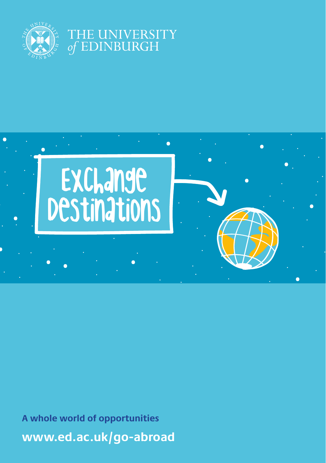

## **INIVERSITY DINBURGH**



**[www.ed.ac.uk/go-abroad](http://www.ed.ac.uk/go-abroad) A whole world of opportunities**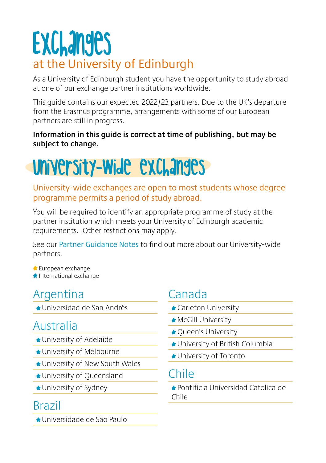# **Exchanges** at the University of Edinburgh

As a University of Edinburgh student you have the opportunity to study abroad at one of our exchange partner institutions worldwide.

This guide contains our expected 2022/23 partners. Due to the UK's departure from the Erasmus programme, arrangements with some of our European partners are still in progress.

#### **Information in this guide is correct at time of publishing, but may be subject to change.**

# University-Wide exchanges

#### University-wide exchanges are open to most students whose degree programme permits a period of study abroad.

You will be required to identify an appropriate programme of study at the partner institution which meets your University of Edinburgh academic requirements. Other restrictions may apply.

See our [Partner Guidance Notes](https://www.ed.ac.uk/global/exchanges/where/partner-guidance) to find out more about our University-wide partners.

**European exchange International exchange** 

# **Argentina**

Universidad de San Andrés

## Australia

- University of Adelaide
- University of Melbourne
- University of New South Wales
- **★ University of Queensland**
- **★ University of Sydney**

### Brazil

Universidade de São Paulo

# Canada

- Carleton University
- **McGill University**
- **★ Queen's University**
- ★ University of British Columbia
- University of Toronto

### Chile

Pontificia Universidad Catolica de Chile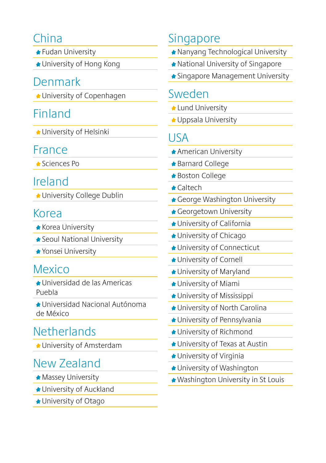# China

- **★ Fudan University**
- University of Hong Kong

### Denmark

**★ University of Copenhagen** 

# Finland

University of Helsinki

### France

Sciences Po

## Ireland

**★ University College Dublin** 

### Korea

- **Korea University**
- Seoul National University
- ◆ Yonsei University

# Mexico

- Universidad de las Americas Puebla
- Universidad Nacional Autónoma de México

# **Netherlands**

University of Amsterdam

# New Zealand

- **Massey University**
- **★ University of Auckland**
- University of Otago

# **Singapore**

- Nanyang Technological University
- National University of Singapore
- **★ Singapore Management University**

#### Sweden

- **Lund University**
- **★ Uppsala University**

## USA

- American University
- Barnard College
- Boston College
- Caltech
- ★ George Washington University
- ★ Georgetown University
- University of California
- **★ University of Chicago**
- **★ University of Connecticut**
- **★ University of Cornell**
- University of Maryland
- University of Miami
- **★ University of Mississippi**
- ★ University of North Carolina
- University of Pennsylvania
- **★ University of Richmond**
- University of Texas at Austin
- University of Virginia
- ◆ University of Washington
- Washington University in St Louis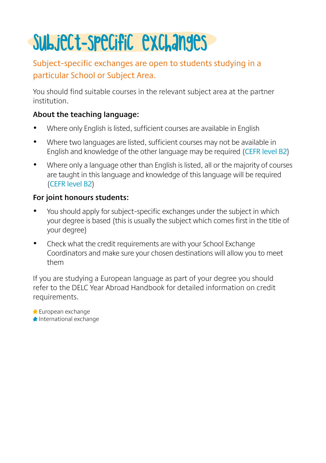# Subject-specific exchanges

#### Subject-specific exchanges are open to students studying in a particular School or Subject Area.

You should find suitable courses in the relevant subject area at the partner institution.

#### **About the teaching language:**

- Where only English is listed, sufficient courses are available in English
- Where two languages are listed, sufficient courses may not be available in English and knowledge of the other language may be required ([CEFR level B2](https://www.coe.int/en/web/common-european-framework-reference-languages/level-descriptions))
- Where only a language other than English is listed, all or the majority of courses are taught in this language and knowledge of this language will be required ([CEFR level B2](https://www.coe.int/en/web/common-european-framework-reference-languages/level-descriptions))

#### **For joint honours students:**

- You should apply for subject-specific exchanges under the subject in which your degree is based (this is usually the subject which comes first in the title of your degree)
- Check what the credit requirements are with your School Exchange Coordinators and make sure your chosen destinations will allow you to meet them

If you are studying a European language as part of your degree you should refer to the DELC Year Abroad Handbook for detailed information on credit requirements.

**European exchange** International exchange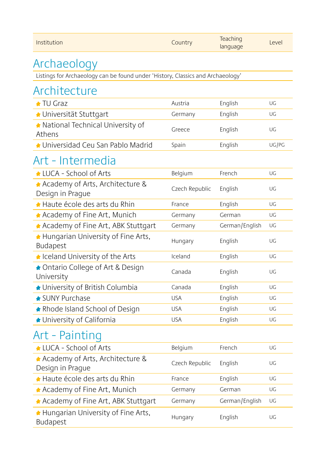| Institution                                                                     | Country        | Teaching<br>language | Level |
|---------------------------------------------------------------------------------|----------------|----------------------|-------|
| Archaeology                                                                     |                |                      |       |
| Listings for Archaeology can be found under 'History, Classics and Archaeology' |                |                      |       |
| Architecture                                                                    |                |                      |       |
| ★ TU Graz                                                                       | Austria        | English              | UG    |
| ◆ Universität Stuttgart                                                         | Germany        | English              | UG    |
| ★ National Technical University of<br>Athens                                    | Greece         | English              | UG    |
| ★ Universidad Ceu San Pablo Madrid                                              | Spain          | English              | UG/PG |
| Art - Intermedia                                                                |                |                      |       |
| LUCA - School of Arts                                                           | Belgium        | French               | UG    |
| Academy of Arts, Architecture &<br>Design in Prague                             | Czech Republic | English              | UG    |
| ★ Haute école des arts du Rhin                                                  | France         | English              | UG    |
| ★ Academy of Fine Art, Munich                                                   | Germany        | German               | UG    |
| Academy of Fine Art, ABK Stuttgart                                              | Germany        | German/English       | UG    |
| Hungarian University of Fine Arts,<br>Budapest                                  | Hungary        | English              | UG    |
| Leland University of the Arts                                                   | Iceland        | English              | UG    |
| ◆ Ontario College of Art & Design<br>University                                 | Canada         | English              | UG    |
| ★ University of British Columbia                                                | Canada         | English              | UG    |
| ★ SUNY Purchase                                                                 | <b>USA</b>     | English              | UG    |
| ★ Rhode Island School of Design                                                 | <b>USA</b>     | English              | UG    |
| ★ University of California                                                      | <b>USA</b>     | English              | UG    |
| Art - Painting                                                                  |                |                      |       |
| LUCA - School of Arts                                                           | Belgium        | French               | UG    |
| Academy of Arts, Architecture &<br>Design in Prague                             | Czech Republic | English              | UG    |
| ★ Haute école des arts du Rhin                                                  | France         | English              | UG    |
| ★ Academy of Fine Art, Munich                                                   | Germany        | German               | UG    |
| ★ Academy of Fine Art, ABK Stuttgart                                            | Germany        | German/English       | UG    |
| Hungarian University of Fine Arts,<br>Budapest                                  | Hungary        | English              | UG    |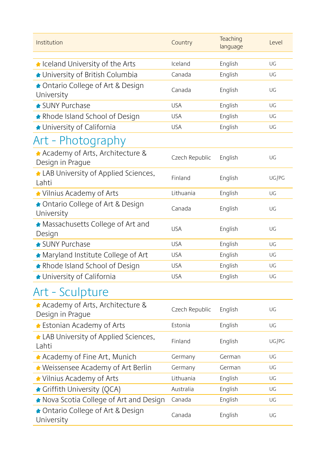| Institution                                           | Country        | Teaching<br>language | Level |
|-------------------------------------------------------|----------------|----------------------|-------|
| celand University of the Arts                         | Iceland        | English              | UG    |
| ★ University of British Columbia                      | Canada         | English              | UG    |
| ◆ Ontario College of Art & Design<br>University       | Canada         | English              | UG    |
| ★ SUNY Purchase                                       | <b>USA</b>     | English              | UG    |
| ★ Rhode Island School of Design                       | <b>USA</b>     | English              | UG    |
| ★ University of California                            | <b>USA</b>     | English              | UG    |
| Art - Photography                                     |                |                      |       |
| A Academy of Arts, Architecture &<br>Design in Prague | Czech Republic | English              | UG    |
| ▲ LAB University of Applied Sciences,<br>Lahti        | Finland        | English              | UG/PG |
| Vilnius Academy of Arts                               | Lithuania      | English              | UG    |
| ★ Ontario College of Art & Design<br>University       | Canada         | English              | UG    |
| Massachusetts College of Art and<br>Design            | <b>USA</b>     | English              | UG    |
| ★ SUNY Purchase                                       | <b>USA</b>     | English              | UG    |
| Maryland Institute College of Art                     | <b>USA</b>     | English              | UG    |
| * Rhode Island School of Design                       | <b>USA</b>     | English              | UG    |
| ★ University of California                            | <b>USA</b>     | English              | UG    |
| Art - Sculpture                                       |                |                      |       |
| Academy of Arts, Architecture &<br>Design in Prague   | Czech Republic | English              | UG    |
| ★ Estonian Academy of Arts                            | Estonia        | English              | UG    |
| LAB University of Applied Sciences,<br>Lahti          | Finland        | English              | UG/PG |
| Academy of Fine Art, Munich                           | Germany        | German               | UG    |
| ★ Weissensee Academy of Art Berlin                    | Germany        | German               | UG    |
| ★ Vilnius Academy of Arts                             | Lithuania      | English              | UG    |
| Griffith University (QCA)                             | Australia      | English              | UG    |
| Nova Scotia College of Art and Design                 | Canada         | English              | UG    |
| ◆ Ontario College of Art & Design<br>University       | Canada         | English              | UG    |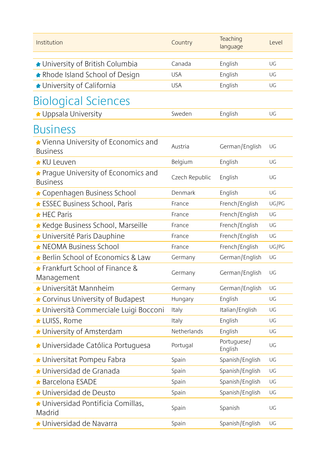| Institution                                             | Country        | Teaching<br>language   | Level |
|---------------------------------------------------------|----------------|------------------------|-------|
| ★ University of British Columbia                        | Canada         | English                | UG    |
| ★ Rhode Island School of Design                         | <b>USA</b>     | English                | UG    |
| ★ University of California                              | <b>USA</b>     | English                | UG    |
| <b>Biological Sciences</b>                              |                |                        |       |
| ◆ Uppsala University                                    | Sweden         | English                | UG    |
| <b>Business</b>                                         |                |                        |       |
| Vienna University of Economics and<br><b>Business</b>   | Austria        | German/English         | UG    |
| ★ KU Leuven                                             | Belgium        | English                | UG    |
| ★ Praque University of Economics and<br><b>Business</b> | Czech Republic | English                | UG    |
| ← Copenhagen Business School                            | Denmark        | English                | UG    |
| ★ ESSEC Business School, Paris                          | France         | French/English         | UG/PG |
| $\bigstar$ HEC Paris                                    | France         | French/English         | UG    |
| ★ Kedge Business School, Marseille                      | France         | French/English         | UG    |
| ★ Université Paris Dauphine                             | France         | French/English         | UG    |
| ★ NEOMA Business School                                 | France         | French/English         | UG/PG |
| ★ Berlin School of Economics & Law                      | Germany        | German/English         | UG    |
| Frankfurt School of Finance &<br>Management             | Germany        | German/English         | UG    |
| ★ Universität Mannheim                                  | Germany        | German/English         | UG    |
| Corvinus University of Budapest                         | Hungary        | English                | UG    |
| ▲ Università Commerciale Luigi Bocconi                  | Italy          | Italian/English        | UG    |
| ★ LUISS, Rome                                           | Italy          | English                | UG    |
| University of Amsterdam                                 | Netherlands    | English                | UG    |
| ◆ Universidade Católica Portuguesa                      | Portugal       | Portuguese/<br>English | UG    |
| ★ Universitat Pompeu Fabra                              | Spain          | Spanish/English        | UG    |
| $\star$ Universidad de Granada                          | Spain          | Spanish/English        | UG    |
| ★ Barcelona ESADE                                       | Spain          | Spanish/English        | UG    |
| ★ Universidad de Deusto                                 | Spain          | Spanish/English        | UG    |
| ★ Universidad Pontificia Comillas,<br>Madrid            | Spain          | Spanish                | UG    |
| $\triangle$ Universidad de Navarra                      | Spain          | Spanish/English        | UG    |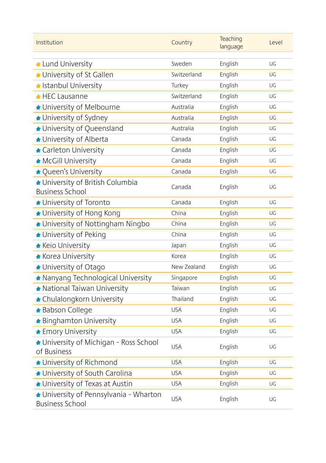| Institution                                                      | Country     | Teaching<br>language | Level |
|------------------------------------------------------------------|-------------|----------------------|-------|
| Lund University                                                  | Sweden      | English              | UG    |
| ★ University of St Gallen                                        | Switzerland | English              | UG    |
| k Istanbul University                                            | Turkey      | English              | UG    |
| $\bigstar$ HEC Lausanne                                          | Switzerland | English              | UG    |
| ★ University of Melbourne                                        | Australia   | English              | UG    |
| ★ University of Sydney                                           | Australia   | English              | UG    |
| ★ University of Queensland                                       | Australia   | English              | UG    |
| University of Alberta                                            | Canada      | English              | UG    |
| Carleton University                                              | Canada      | English              | UG    |
| <b>McGill University</b>                                         | Canada      | English              | UG    |
| ★ Queen's University                                             | Canada      | English              | UG    |
| ★ University of British Columbia<br><b>Business School</b>       | Canada      | English              | UG    |
| ★ University of Toronto                                          | Canada      | English              | UG    |
| ★ University of Hong Kong                                        | China       | English              | UG    |
| ★ University of Nottingham Ningbo                                | China       | English              | UG    |
| ★ University of Peking                                           | China       | English              | UG    |
| <b>*</b> Keio University                                         | Japan       | English              | UG    |
| <b>*</b> Korea University                                        | Korea       | English              | UG    |
| ★ University of Otago                                            | New Zealand | English              | UG    |
| ★ Nanyang Technological University                               | Singapore   | English              | UG    |
| National Taiwan University                                       | Taiwan      | English              | UG    |
| ★ Chulalongkorn University                                       | Thailand    | English              | UG    |
| <b>* Babson College</b>                                          | <b>USA</b>  | English              | UG    |
| ★ Binghamton University                                          | <b>USA</b>  | English              | UG    |
| <b>*</b> Emory University                                        | <b>USA</b>  | English              | UG    |
| University of Michigan - Ross School<br>of Business              | <b>USA</b>  | English              | UG    |
| ★ University of Richmond                                         | <b>USA</b>  | English              | UG    |
| ★ University of South Carolina                                   | <b>USA</b>  | English              | UG    |
| ★ University of Texas at Austin                                  | <b>USA</b>  | English              | UG    |
| ★ University of Pennsylvania - Wharton<br><b>Business School</b> | <b>USA</b>  | English              | UG    |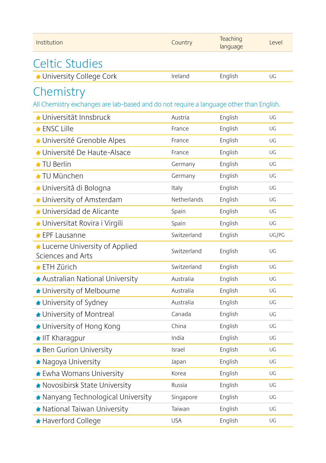| Institution                                                                             | Country     | Teaching<br>language | Level |
|-----------------------------------------------------------------------------------------|-------------|----------------------|-------|
| <b>Celtic Studies</b>                                                                   |             |                      |       |
| ← University College Cork                                                               | Ireland     | English              | UG    |
| Chemistry                                                                               |             |                      |       |
| All Chemistry exchanges are lab-based and do not require a language other than English. |             |                      |       |
| ★ Universität Innsbruck                                                                 | Austria     | English              | UG    |
| <b>* ENSC Lille</b>                                                                     | France      | English              | UG    |
| ★ Université Grenoble Alpes                                                             | France      | English              | UG    |
| ★ Université De Haute-Alsace                                                            | France      | English              | UG    |
| $\triangle$ TU Berlin                                                                   | Germany     | English              | UG    |
| ★ TU München                                                                            | Germany     | English              | UG    |
| ◆ Università di Bologna                                                                 | Italy       | English              | UG    |
| University of Amsterdam                                                                 | Netherlands | English              | UG    |
| ★ Universidad de Alicante                                                               | Spain       | English              | UG    |
| ◆ Universitat Rovira i Virgili                                                          | Spain       | English              | UG    |
| <b>★ EPF Lausanne</b>                                                                   | Switzerland | English              | UG/PG |
| Lucerne University of Applied<br>Sciences and Arts                                      | Switzerland | English              | UG    |
| <b>★ ETH Zürich</b>                                                                     | Switzerland | English              | UG    |
| ★ Australian National University                                                        | Australia   | English              | UG    |
| ★ University of Melbourne                                                               | Australia   | English              | UG    |
| ★ University of Sydney                                                                  | Australia   | English              | UG    |
| ★ University of Montreal                                                                | Canada      | English              | UG    |
| ★ University of Hong Kong                                                               | China       | English              | UG    |
| ★ IIT Kharagpur                                                                         | India       | English              | UG    |
| <b>* Ben Gurion University</b>                                                          | Israel      | English              | UG    |
| * Nagoya University                                                                     | Japan       | English              | UG    |
| ★ Ewha Womans University                                                                | Korea       | English              | UG    |
| Novosibirsk State University                                                            | Russia      | English              | UG    |
| ★ Nanyang Technological University                                                      | Singapore   | English              | UG    |
| ★ National Taiwan University                                                            | Taiwan      | English              | UG    |
| ★ Haverford College                                                                     | <b>USA</b>  | English              | UG    |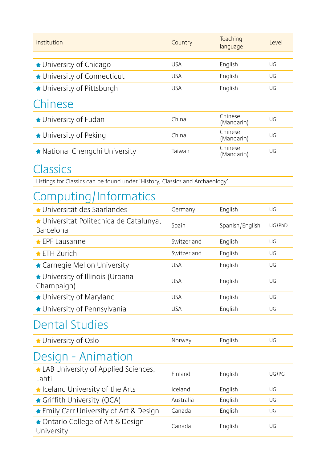| Institution                    | Country    | Teaching<br>language  | Level |
|--------------------------------|------------|-----------------------|-------|
|                                |            |                       |       |
| ★ University of Chicago        | <b>USA</b> | English               | UG    |
| ★ University of Connecticut    | <b>USA</b> | English               | UG    |
| ★ University of Pittsburgh     | <b>USA</b> | English               | UG    |
| Chinese                        |            |                       |       |
| $\bigstar$ University of Fudan | China      | Chinese<br>(Mandarin) | LIG   |
| ★ University of Peking         | China      | Chinese<br>(Mandarin) | UG    |
| ★ National Chengchi University | Taiwan     | Chinese<br>(Mandarin) | UG    |

#### Classics

Listings for Classics can be found under 'History, Classics and Archaeology'

# Computing/Informatics

| $\triangle$ Universität des Saarlandes               | Germany     | English         | UG     |
|------------------------------------------------------|-------------|-----------------|--------|
| ★ Universitat Politecnica de Catalunya,<br>Barcelona | Spain       | Spanish/English | UG/PhD |
| $\bigstar$ EPF Lausanne                              | Switzerland | English         | UG     |
| $\triangle$ ETH Zurich                               | Switzerland | English         | UG     |
| ★ Carnegie Mellon University                         | <b>USA</b>  | English         | UG     |
| ★ University of Illinois (Urbana<br>Champaign)       | <b>USA</b>  | English         | UG     |
| ★ University of Maryland                             | <b>USA</b>  | English         | UG     |
| ★ University of Pennsylvania                         | <b>USA</b>  | English         | UG     |
| <b>Dental Studies</b>                                |             |                 |        |
| ◆ University of Oslo                                 | Norway      | English         | UG     |
| Design - Animation                                   |             |                 |        |
| LAB University of Applied Sciences,<br>Lahti         | Finland     | English         | UG/PG  |
| ★ Iceland University of the Arts                     | Iceland     | English         | UG     |
| Griffith University (QCA)                            | Australia   | English         | UG     |
| ★ Emily Carr University of Art & Design              | Canada      | English         | UG     |
| ◆ Ontario College of Art & Design<br>University      | Canada      | English         | UG     |
|                                                      |             |                 |        |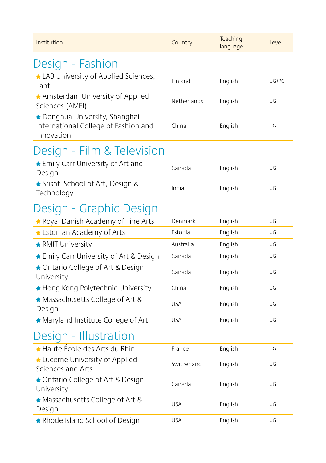| Institution                                                                        | Country     | Teaching<br>language | Level |
|------------------------------------------------------------------------------------|-------------|----------------------|-------|
| Design - Fashion                                                                   |             |                      |       |
| LAB University of Applied Sciences,<br>Lahti                                       | Finland     | English              | UG/PG |
| Amsterdam University of Applied<br>Sciences (AMFI)                                 | Netherlands | English              | UG    |
| Donghua University, Shanghai<br>International College of Fashion and<br>Innovation | China       | English              | UG    |
| Design - Film & Television                                                         |             |                      |       |
| ★ Emily Carr University of Art and<br>Design                                       | Canada      | English              | UG    |
| ★ Srishti School of Art, Design &<br>Technology                                    | India       | English              | UG    |
| Design - Graphic Design                                                            |             |                      |       |
| Royal Danish Academy of Fine Arts                                                  | Denmark     | English              | UG    |
| ★ Estonian Academy of Arts                                                         | Estonia     | English              | UG    |
| <b>RMIT University</b>                                                             | Australia   | English              | UG    |
| ★ Emily Carr University of Art & Design                                            | Canada      | English              | UG    |
| ◆ Ontario College of Art & Design<br>University                                    | Canada      | English              | UG    |
| ★ Hong Kong Polytechnic University                                                 | China       | English              | UG    |
| Massachusetts College of Art &<br>Design                                           | <b>USA</b>  | English              | UG    |
| Maryland Institute College of Art                                                  | <b>USA</b>  | English              | UG    |
| Design - Illustration                                                              |             |                      |       |
| ★ Haute École des Arts du Rhin                                                     | France      | English              | UG    |
| Lucerne University of Applied<br>Sciences and Arts                                 | Switzerland | English              | UG    |
| ◆ Ontario College of Art & Design<br>University                                    | Canada      | English              | UG    |
| Massachusetts College of Art &<br>Design                                           | <b>USA</b>  | English              | UG    |
| * Rhode Island School of Design                                                    | <b>USA</b>  | English              | UG    |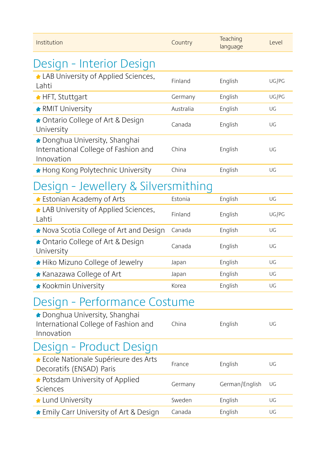| Institution                                                                        | Country   | Teaching<br>language | Level |
|------------------------------------------------------------------------------------|-----------|----------------------|-------|
| Design - Interior Design                                                           |           |                      |       |
| LAB University of Applied Sciences,<br>Lahti                                       | Finland   | English              | UG/PG |
| ★ HFT, Stuttgart                                                                   | Germany   | English              | UG/PG |
| <b>RMIT University</b>                                                             | Australia | English              | UG    |
| ◆ Ontario College of Art & Design<br>University                                    | Canada    | English              | UG    |
| Donghua University, Shanghai<br>International College of Fashion and<br>Innovation | China     | English              | UG    |
| ★ Hong Kong Polytechnic University                                                 | China     | English              | UG    |
| Design - Jewellery & Silversmithing                                                |           |                      |       |
| ★ Estonian Academy of Arts                                                         | Estonia   | English              | UG    |
| LAB University of Applied Sciences,<br>Lahti                                       | Finland   | English              | UG/PG |
| Nova Scotia College of Art and Design                                              | Canada    | English              | UG    |
| ◆ Ontario College of Art & Design<br>University                                    | Canada    | English              | UG    |
| ★ Hiko Mizuno College of Jewelry                                                   | Japan     | English              | UG    |
| ★ Kanazawa College of Art                                                          | Japan     | English              | UG    |
| <b>* Kookmin University</b>                                                        | Korea     | English              | UG    |
| Design - Performance Costume                                                       |           |                      |       |
| Donghua University, Shanghai<br>International College of Fashion and<br>Innovation | China     | English              | UG    |
| Design - Product Design                                                            |           |                      |       |
| ★ Ecole Nationale Supérieure des Arts<br>Decoratifs (ENSAD) Paris                  | France    | English              | UG    |
| ★ Potsdam University of Applied<br>Sciences                                        | Germany   | German/English       | UG    |
| Lund University                                                                    | Sweden    | English              | UG    |
| ★ Emily Carr University of Art & Design                                            | Canada    | English              | UG    |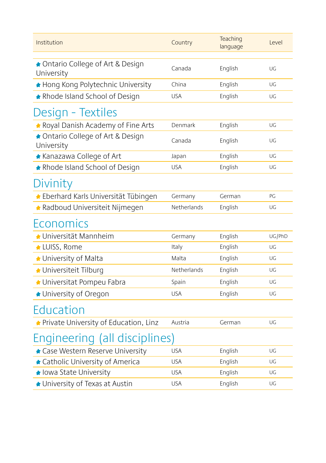| Institution                                     | Country     | Teaching<br>language | Level  |
|-------------------------------------------------|-------------|----------------------|--------|
| ◆ Ontario College of Art & Design<br>University | Canada      | English              | UG     |
| ★ Hong Kong Polytechnic University              | China       | English              | UG     |
| ★ Rhode Island School of Design                 | <b>USA</b>  | English              | UG     |
| Design - Textiles                               |             |                      |        |
| Royal Danish Academy of Fine Arts               | Denmark     | English              | UG     |
| ◆ Ontario College of Art & Design<br>University | Canada      | English              | UG     |
| * Kanazawa College of Art                       | Japan       | English              | UG     |
| ★ Rhode Island School of Design                 | <b>USA</b>  | English              | UG     |
| Divinity                                        |             |                      |        |
| ★ Eberhard Karls Universität Tübingen           | Germany     | German               | PG     |
| ★ Radboud Universiteit Nijmegen                 | Netherlands | English              | UG     |
| Economics                                       |             |                      |        |
| ★ Universität Mannheim                          | Germany     | English              | UG/PhD |
| LUISS, Rome                                     | Italy       | English              | UG     |
| University of Malta                             | Malta       | English              | UG     |
| ★ Universiteit Tilburg                          | Netherlands | English              | UG     |
| ★ Universitat Pompeu Fabra                      | Spain       | English              | UG     |
| ★ University of Oregon                          | <b>USA</b>  | English              | UG     |
| Education                                       |             |                      |        |
| ★ Private University of Education, Linz         | Austria     | German               | UG     |
| Engineering (all disciplines)                   |             |                      |        |
| Case Western Reserve University                 | <b>USA</b>  | English              | UG     |
| ★ Catholic University of America                | <b>USA</b>  | English              | UG     |
| ★ Iowa State University                         | <b>USA</b>  | English              | UG     |
| ★ University of Texas at Austin                 | <b>USA</b>  | English              | UG     |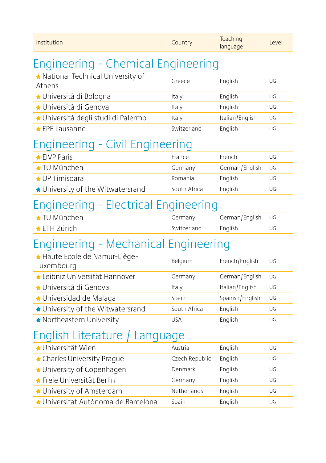| Institution                                  | Country        | Teaching<br>language | Level |  |
|----------------------------------------------|----------------|----------------------|-------|--|
| Engineering - Chemical Engineering           |                |                      |       |  |
| A National Technical University of<br>Athens | Greece         | English              | UG    |  |
| ★ Università di Bologna                      | Italy          | English              | UG    |  |
| ★ Università di Genova                       | Italy          | English              | UG    |  |
| ◆ Università degli studi di Palermo          | Italy          | Italian/English      | UG    |  |
| ★ EPF Lausanne                               | Switzerland    | English              | UG    |  |
| Engineering - Civil Engineering              |                |                      |       |  |
| $\triangle$ EIVP Paris                       | France         | French               | UG    |  |
| <b>← TU München</b>                          | Germany        | German/English       | UG    |  |
| <b>★ UP Timisoara</b>                        | Romania        | English              | UG    |  |
| ★ University of the Witwatersrand            | South Africa   | English              | UG    |  |
| Engineering - Electrical Engineering         |                |                      |       |  |
| ★ TU München                                 | Germany        | German/English       | UG    |  |
| ★ ETH Zürich                                 | Switzerland    | English              | UG    |  |
| Engineering - Mechanical Engineering         |                |                      |       |  |
| A Haute Ecole de Namur-Liège-<br>Luxembourg  | Belgium        | French/English       | UG    |  |
| ★ Leibniz Universität Hannover               | Germany        | German/English       | UG    |  |
| ★ Università di Genova                       | Italy          | Italian/English      | UG    |  |
| ★ Universidad de Malaga                      | Spain          | Spanish/English      | UG    |  |
| ★ University of the Witwatersrand            | South Africa   | English              | UG    |  |
| Northeastern University                      | <b>USA</b>     | English              | UG    |  |
| English Literature<br>Language               |                |                      |       |  |
| ◆ Universität Wien                           | Austria        | English              | UG    |  |
| ← Charles University Praque                  | Czech Republic | English              | UG    |  |
| ★ University of Copenhagen                   | Denmark        | English              | UG    |  |
| ★ Freie Universität Berlin                   | Germany        | English              | UG    |  |
| University of Amsterdam                      | Netherlands    | English              | UG    |  |
| ▲ Universitat Autònoma de Barcelona          | Spain          | English              | UG    |  |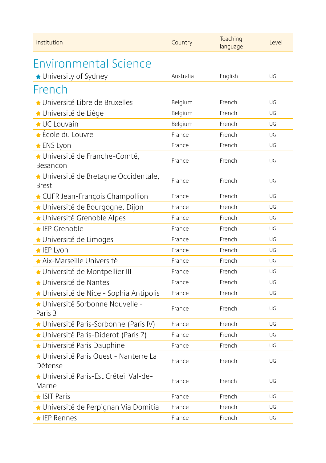| Institution                                         | Country   | Teaching<br>language | Level |
|-----------------------------------------------------|-----------|----------------------|-------|
| Environmental Science                               |           |                      |       |
| ★ University of Sydney                              | Australia | English              | UG    |
| French                                              |           |                      |       |
| ★ Université Libre de Bruxelles                     | Belgium   | French               | UG    |
| ★ Université de Liège                               | Belgium   | French               | UG    |
| <b>★ UC Louvain</b>                                 | Belgium   | French               | UG    |
| ★ École du Louvre                                   | France    | French               | UG    |
| ★ ENS Lyon                                          | France    | French               | UG    |
| ★ Université de Franche-Comté,<br>Besancon          | France    | French               | UG    |
| Université de Bretagne Occidentale,<br><b>Brest</b> | France    | French               | UG    |
| CUFR Jean-François Champollion                      | France    | French               | UG    |
| ▲ Université de Bourgogne, Dijon                    | France    | French               | UG    |
| ★ Université Grenoble Alpes                         | France    | French               | UG    |
| ← IEP Grenoble                                      | France    | French               | UG    |
| ★ Université de Limoges                             | France    | French               | UG    |
| ★ IEP Lyon                                          | France    | French               | UG    |
| Aix-Marseille Université                            | France    | French               | UG    |
| Université de Montpellier III                       | France    | French               | UG    |
| <b>★Université de Nantes</b>                        | France    | French               | UG    |
| ▲ Université de Nice - Sophia Antipolis             | France    | French               | UG    |
| ★ Université Sorbonne Nouvelle -<br>Paris 3         | France    | French               | UG    |
| ▲ Université Paris-Sorbonne (Paris IV)              | France    | French               | UG    |
| ▲ Université Paris-Diderot (Paris 7)                | France    | French               | UG    |
| ◆ Université Paris Dauphine                         | France    | French               | UG    |
| ★ Université Paris Ouest - Nanterre La<br>Défense   | France    | French               | UG    |
| ▲ Université Paris-Est Créteil Val-de-<br>Marne     | France    | French               | UG    |
| $\triangle$ ISIT Paris                              | France    | French               | UG    |
| ★ Université de Perpignan Via Domitia               | France    | French               | UG    |
| $\bigstar$ IEP Rennes                               | France    | French               | UG    |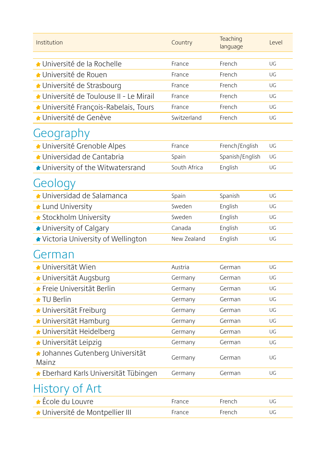| Institution                               | Country      | Teaching<br>language | Level |
|-------------------------------------------|--------------|----------------------|-------|
| ★ Université de la Rochelle               | France       | French               | UG    |
| ★ Université de Rouen                     | France       | French               | UG    |
| ★ Université de Strasbourg                | France       | French               | UG    |
| ▲ Université de Toulouse II - Le Mirail   | France       | French               | UG    |
| ▲ Université François-Rabelais, Tours     | France       | French               | UG    |
| ★ Université de Genève                    | Switzerland  | French               | UG    |
| Geography                                 |              |                      |       |
| ★ Université Grenoble Alpes               | France       | French/English       | UG    |
| $\bullet$ Universidad de Cantabria        | Spain        | Spanish/English      | UG    |
| ★ University of the Witwatersrand         | South Africa | English              | UG    |
| Geology                                   |              |                      |       |
| $\star$ Universidad de Salamanca          | Spain        | Spanish              | UG    |
| Lund University                           | Sweden       | English              | UG    |
| ★ Stockholm University                    | Sweden       | English              | UG    |
| ★ University of Calgary                   | Canada       | English              | UG    |
| ★ Victoria University of Wellington       | New Zealand  | English              | UG    |
| German                                    |              |                      |       |
| ★ Universität Wien                        | Austria      | German               | UG    |
| ★ Universität Augsburg                    | Germany      | German               | UG    |
| ★ Freie Universität Berlin                | Germany      | German               | UG    |
| $\star$ TU Berlin                         | Germany      | German               | UG    |
| ◆ Universität Freiburg                    | Germany      | German               | UG    |
| ★ Universität Hamburg                     | Germany      | German               | UG    |
| ★ Universität Heidelberg                  | Germany      | German               | UG    |
| ★ Universität Leipzig                     | Germany      | German               | UG    |
| ▲ Johannes Gutenberg Universität<br>Mainz | Germany      | German               | UG    |
| ★ Eberhard Karls Universität Tübingen     | Germany      | German               | UG    |
| History of Art                            |              |                      |       |
| ▲ École du Louvre                         | France       | French               | UG    |
| Université de Montpellier III             | France       | French               | UG    |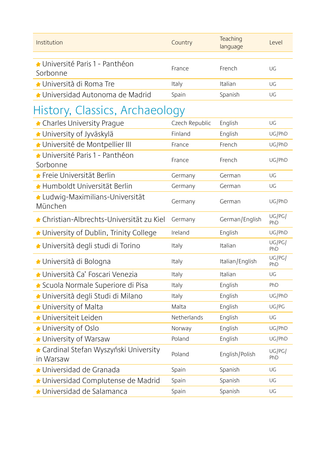| Institution                                         | Country        | Teaching<br>language | Level         |
|-----------------------------------------------------|----------------|----------------------|---------------|
| ★ Université Paris 1 - Panthéon<br>Sorbonne         | France         | French               | UG            |
| ★ Università di Roma Tre                            | Italy          | Italian              | UG            |
| ★ Universidad Autonoma de Madrid                    | Spain          | Spanish              | UG            |
| History, Classics, Archaeology                      |                |                      |               |
| ← Charles University Prague                         | Czech Republic | English              | UG            |
| University of Jyväskylä                             | Finland        | English              | UG/PhD        |
| ◆ Université de Montpellier III                     | France         | French               | UG/PhD        |
| ★ Université Paris 1 - Panthéon<br>Sorbonne         | France         | French               | UG/PhD        |
| ★ Freie Universität Berlin                          | Germany        | German               | UG            |
| ★ Humboldt Universität Berlin                       | Germany        | German               | UG            |
| Ludwig-Maximilians-Universität<br>München           | Germany        | German               | UG/PhD        |
| ★ Christian-Albrechts-Universität zu Kiel           | Germany        | German/English       | UG/PG/<br>PhD |
| University of Dublin, Trinity College               | Ireland        | English              | UG/PhD        |
| ◆ Università degli studi di Torino                  | Italy          | Italian              | UG/PG/<br>PhD |
| ★ Università di Bologna                             | Italy          | Italian/English      | UG/PG/<br>PhD |
| ★ Università Ca' Foscari Venezia                    | Italy          | Italian              | UG            |
| ★ Scuola Normale Superiore di Pisa                  | Italy          | English              | PhD           |
| ▲ Università degli Studi di Milano                  | Italy          | English              | UG/PhD        |
| ★ University of Malta                               | Malta          | English              | UG/PG         |
| ★ Universiteit Leiden                               | Netherlands    | English              | UG            |
| University of Oslo                                  | Norway         | English              | UG/PhD        |
| University of Warsaw                                | Poland         | English              | UG/PhD        |
| ★ Cardinal Stefan Wyszyński University<br>in Warsaw | Poland         | English/Polish       | UG/PG/<br>PhD |
| ▲ Universidad de Granada                            | Spain          | Spanish              | UG            |
| ◆ Universidad Complutense de Madrid                 | Spain          | Spanish              | UG            |
| ★ Universidad de Salamanca                          | Spain          | Spanish              | UG            |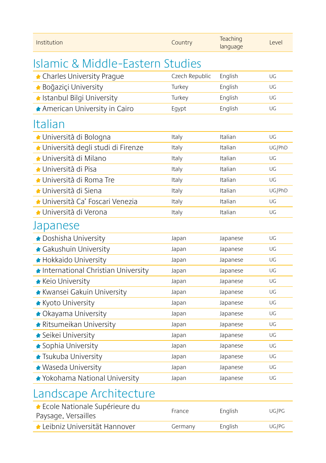| Institution                                            | Country        | Teaching<br>language | Level  |
|--------------------------------------------------------|----------------|----------------------|--------|
| <b>Islamic &amp; Middle-Eastern Studies</b>            |                |                      |        |
| ← Charles University Prague                            | Czech Republic | English              | UG     |
| <b>* Boğaziçi University</b>                           | Turkey         | English              | UG     |
| k Istanbul Bilgi University                            | Turkey         | English              | UG     |
| ★ American University in Cairo                         | Eqypt          | English              | UG     |
| Italian                                                |                |                      |        |
| ★ Università di Bologna                                | Italy          | Italian              | UG     |
| ◆ Università degli studi di Firenze                    | Italy          | Italian              | UG/PhD |
| ★ Università di Milano                                 | Italy          | Italian              | UG     |
| ★ Università di Pisa                                   | Italy          | Italian              | UG     |
| ★ Università di Roma Tre                               | Italy          | Italian              | UG     |
| ★ Università di Siena                                  | Italy          | Italian              | UG/PhD |
| ▲ Università Ca' Foscari Venezia                       | Italy          | Italian              | UG     |
| ★ Università di Verona                                 | Italy          | Italian              | UG     |
| Japanese                                               |                |                      |        |
| Doshisha University                                    | Japan          | Japanese             | UG     |
| ★ Gakushuin University                                 | Japan          | Japanese             | UG     |
| ★ Hokkaido University                                  | Japan          | Japanese             | UG     |
| International Christian University                     | Japan          | Japanese             | UG     |
| <b>*</b> Keio University                               | Japan          | Japanese             | UG     |
| <b>*</b> Kwansei Gakuin University                     | Japan          | Japanese             | UG     |
| <b>*</b> Kyoto University                              | Japan          | Japanese             | UG     |
| ★ Okayama University                                   | Japan          | Japanese             | UG     |
| <b>*</b> Ritsumeikan University                        | Japan          | Japanese             | UG     |
| ★ Seikei University                                    | Japan          | Japanese             | UG     |
| ★ Sophia University                                    | Japan          | Japanese             | UG     |
| <b>* Tsukuba University</b>                            | Japan          | Japanese             | UG     |
| Waseda University                                      | Japan          | Japanese             | UG     |
| ★ Yokohama National University                         | Japan          | Japanese             | UG     |
| Landscape Architecture                                 |                |                      |        |
| ★ Ecole Nationale Supérieure du<br>Paysage, Versailles | France         | English              | UG/PG  |
| ★ Leibniz Universität Hannover                         | Germany        | English              | UG/PG  |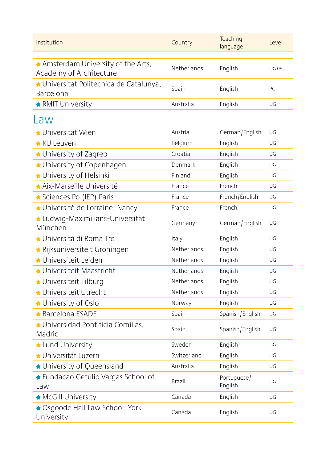| Institution                                                  | Country     | Teaching<br>language   | Level |
|--------------------------------------------------------------|-------------|------------------------|-------|
| Amsterdam University of the Arts,<br>Academy of Architecture | Netherlands | English                | UG/PG |
| ◆ Universitat Politecnica de Catalunya,<br>Barcelona         | Spain       | English                | PG    |
| <b>RMIT University</b>                                       | Australia   | English                | UG    |
| Law                                                          |             |                        |       |
| $\blacktriangle$ Universität Wien                            | Austria     | German/English         | UG    |
| ★ KU Leuven                                                  | Belgium     | English                | UG    |
| ★ University of Zagreb                                       | Croatia     | English                | UG    |
| ← University of Copenhagen                                   | Denmark     | English                | UG    |
| University of Helsinki                                       | Finland     | English                | UG    |
| Aix-Marseille Université                                     | France      | French                 | UG    |
| ★ Sciences Po (IEP) Paris                                    | France      | French/English         | UG    |
| ★ Université de Lorraine, Nancy                              | France      | French                 | UG    |
| ▲ Ludwiq-Maximilians-Universität<br>München                  | Germany     | German/English         | UG    |
| ★ Università di Roma Tre                                     | Italy       | English                | UG    |
| ▲ Rijksuniversiteit Groningen                                | Netherlands | English                | UG    |
| ★ Universiteit Leiden                                        | Netherlands | English                | UG    |
| $\bigstar$ Universiteit Maastricht                           | Netherlands | English                | UG    |
| ★ Universiteit Tilburg                                       | Netherlands | English                | UG    |
| ★ Universiteit Utrecht                                       | Netherlands | English                | UG    |
| University of Oslo                                           | Norway      | English                | UG    |
| $\triangle$ Barcelona ESADE                                  | Spain       | Spanish/English        | UG    |
| ★ Universidad Pontificia Comillas,<br>Madrid                 | Spain       | Spanish/English        | UG    |
| Lund University                                              | Sweden      | English                | UG    |
| <b>★ Universität Luzern</b>                                  | Switzerland | English                | UG    |
| ★ University of Queensland                                   | Australia   | English                | UG    |
| ★ Fundacao Getulio Vargas School of<br>Law                   | Brazil      | Portuguese/<br>English | UG    |
| <b>McGill University</b>                                     | Canada      | English                | UG    |
| ★ Osgoode Hall Law School, York<br>University                | Canada      | English                | UG    |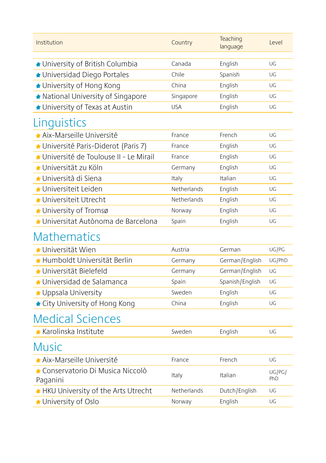| Institution                                   | Country     | Teaching<br>language | Level         |
|-----------------------------------------------|-------------|----------------------|---------------|
| ★ University of British Columbia              | Canada      | English              | UG            |
| ◆ Universidad Diego Portales                  | Chile       | Spanish              | UG            |
| ★ University of Hong Kong                     | China       | English              | UG            |
| ★ National University of Singapore            | Singapore   | English              | UG            |
| ★ University of Texas at Austin               | <b>USA</b>  | English              | UG            |
| Linguistics                                   |             |                      |               |
| Aix-Marseille Université                      | France      | French               | UG            |
| ▲ Université Paris-Diderot (Paris 7)          | France      | English              | UG            |
| Université de Toulouse II - Le Mirail         | France      | English              | UG            |
| ★ Universität zu Köln                         | Germany     | English              | UG            |
| ★ Università di Siena                         | Italy       | Italian              | UG            |
| $\blacktriangle$ Universiteit Leiden          | Netherlands | English              | UG            |
| ★ Universiteit Utrecht                        | Netherlands | English              | UG            |
| University of Tromsø                          | Norway      | English              | UG            |
| ★ Universitat Autònoma de Barcelona           | Spain       | English              | UG            |
| <b>Mathematics</b>                            |             |                      |               |
| $\bigstar$ Universität Wien                   | Austria     | German               | UG/PG         |
| ★ Humboldt Universität Berlin                 | Germany     | German/English       | UG/PhD        |
| ★ Universität Bielefeld                       | Germany     | German/English       | UG            |
| ★ Universidad de Salamanca                    | Spain       | Spanish/English      | UG            |
| Uppsala University                            | Sweden      | English              | UG            |
| ★ City University of Hong Kong                | China       | English              | UG            |
| <b>Medical Sciences</b>                       |             |                      |               |
| <b>*</b> Karolinska Institute                 | Sweden      | English              | UG            |
| <b>Music</b>                                  |             |                      |               |
| Aix-Marseille Université                      | France      | French               | UG            |
| ★ Conservatorio Di Musica Niccolò<br>Paganini | Italy       | Italian              | UG/PG/<br>PhD |
| HKU University of the Arts Utrecht            | Netherlands | Dutch/English        | UG            |
| University of Oslo                            | Norway      | English              | UG            |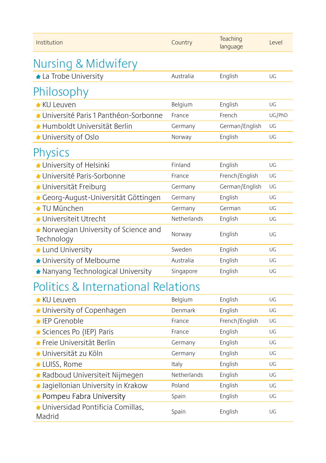| Institution                                       | Country     | Teaching<br>language | Level  |
|---------------------------------------------------|-------------|----------------------|--------|
| Nursing & Midwifery                               |             |                      |        |
| La Trobe University                               | Australia   | English              | UG     |
| Philosophy                                        |             |                      |        |
| ★ KU Leuven                                       | Belgium     | English              | UG     |
| ★ Université Paris 1 Panthéon-Sorbonne            | France      | French               | UG/PhD |
| ★ Humboldt Universität Berlin                     | Germany     | German/English       | UG     |
| ★ University of Oslo                              | Norway      | English              | UG     |
| Physics                                           |             |                      |        |
| ★ University of Helsinki                          | Finland     | English              | UG     |
| ★ Université Paris-Sorbonne                       | France      | French/English       | UG     |
| ◆ Universität Freiburg                            | Germany     | German/English       | UG     |
| ▲ Georg-August-Universität Göttingen              | Germany     | English              | UG     |
| <b>★ TU München</b>                               | Germany     | German               | UG     |
| ★ Universiteit Utrecht                            | Netherlands | English              | UG     |
| Norwegian University of Science and<br>Technology | Norway      | English              | UG     |
| Lund University                                   | Sweden      | English              | UG     |
| ★ University of Melbourne                         | Australia   | English              | UG     |
| ★ Nanyang Technological University                | Singapore   | English              | UG     |
| <b>Politics &amp; International Relations</b>     |             |                      |        |
| <b>* KU Leuven</b>                                | Belgium     | English              | UG     |
| ★ University of Copenhagen                        | Denmark     | English              | UG     |
| ★ IEP Grenoble                                    | France      | French/English       | UG     |
| ★ Sciences Po (IEP) Paris                         | France      | English              | UG     |
| ★ Freie Universität Berlin                        | Germany     | English              | UG     |
| ★ Universität zu Köln                             | Germany     | English              | UG     |
| ★ LUISS, Rome                                     | Italy       | English              | UG     |
| ★ Radboud Universiteit Nijmegen                   | Netherlands | English              | UG     |
| ▲ Jaqiellonian University in Krakow               | Poland      | English              | UG     |
| ★ Pompeu Fabra University                         | Spain       | English              | UG     |
| ★ Universidad Pontificia Comillas,<br>Madrid      | Spain       | English              | UG     |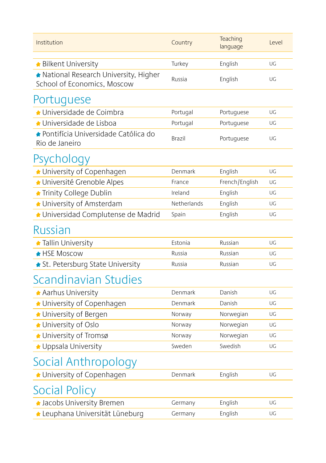| Institution                                                         | Country       | Teaching<br>language | Level |
|---------------------------------------------------------------------|---------------|----------------------|-------|
| <b>* Bilkent University</b>                                         | Turkey        | English              | UG    |
| National Research University, Higher<br>School of Economics, Moscow | Russia        | English              | UG    |
| Portuguese                                                          |               |                      |       |
| ★ Universidade de Coimbra                                           | Portugal      | Portuguese           | UG    |
| ★ Universidade de Lisboa                                            | Portugal      | Portuguese           | UG    |
| ★ Pontifícia Universidade Católica do<br>Rio de Janeiro             | <b>Brazil</b> | Portuguese           | UG    |
| Psychology                                                          |               |                      |       |
| ★ University of Copenhagen                                          | Denmark       | English              | UG    |
| ★ Université Grenoble Alpes                                         | France        | French/English       | UG    |
| ★ Trinity College Dublin                                            | Ireland       | English              | UG    |
| University of Amsterdam                                             | Netherlands   | English              | UG    |
| ◆ Universidad Complutense de Madrid                                 | Spain         | English              | UG    |
| Russian                                                             |               |                      |       |
| <b>* Tallin University</b>                                          | Estonia       | Russian              | UG    |
| <b>★ HSE Moscow</b>                                                 | Russia        | Russian              | UG    |
| ★ St. Petersburg State University                                   | Russia        | Russian              | UG    |
| Scandinavian Studies                                                |               |                      |       |
| Aarhus University                                                   | Denmark       | Danish               | UG    |
| ★ University of Copenhagen                                          | Denmark       | Danish               | UG    |
| ← University of Bergen                                              | Norway        | Norwegian            | UG    |
| ★ University of Oslo                                                | Norway        | Norwegian            | UG    |
| University of Tromsø                                                | Norway        | Norwegian            | UG    |
| Uppsala University                                                  | Sweden        | Swedish              | UG    |
| Social Anthropology                                                 |               |                      |       |
| ★ University of Copenhagen                                          | Denmark       | English              | UG    |
| Social Policy                                                       |               |                      |       |
| <b>A</b> Jacobs University Bremen                                   | Germany       | English              | UG    |
| Leuphana Universität Lüneburg                                       | Germany       | English              | UG    |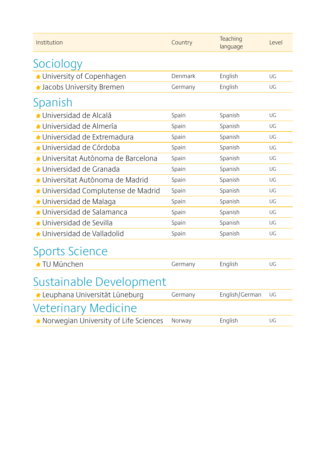| Institution                             | Country | Teaching<br>language | Level |
|-----------------------------------------|---------|----------------------|-------|
| Sociology                               |         |                      |       |
| ★ University of Copenhagen              | Denmark | English              | UG    |
| <b>A</b> Jacobs University Bremen       | Germany | English              | UG    |
| Spanish                                 |         |                      |       |
| ◆ Universidad de Alcalá                 | Spain   | Spanish              | UG    |
| ★ Universidad de Almería                | Spain   | Spanish              | UG    |
| ★ Universidad de Extremadura            | Spain   | Spanish              | UG    |
| ★ Universidad de Córdoba                | Spain   | Spanish              | UG    |
| ▲ Universitat Autònoma de Barcelona     | Spain   | Spanish              | UG    |
| ★ Universidad de Granada                | Spain   | Spanish              | UG    |
| ▲ Universitat Autònoma de Madrid        | Spain   | Spanish              | UG    |
| ▲ Universidad Complutense de Madrid     | Spain   | Spanish              | UG    |
| ★ Universidad de Malaga                 | Spain   | Spanish              | UG    |
| ★ Universidad de Salamanca              | Spain   | Spanish              | UG    |
| ★ Universidad de Sevilla                | Spain   | Spanish              | UG    |
| ★ Universidad de Valladolid             | Spain   | Spanish              | UG    |
| <b>Sports Science</b>                   |         |                      |       |
| ★ TU München                            | Germany | English              | UG    |
| Sustainable Development                 |         |                      |       |
| Leuphana Universität Lüneburg           | Germany | English/German       | UG    |
| Veterinary Medicine                     |         |                      |       |
| ★ Norwegian University of Life Sciences | Norway  | English              | UG    |